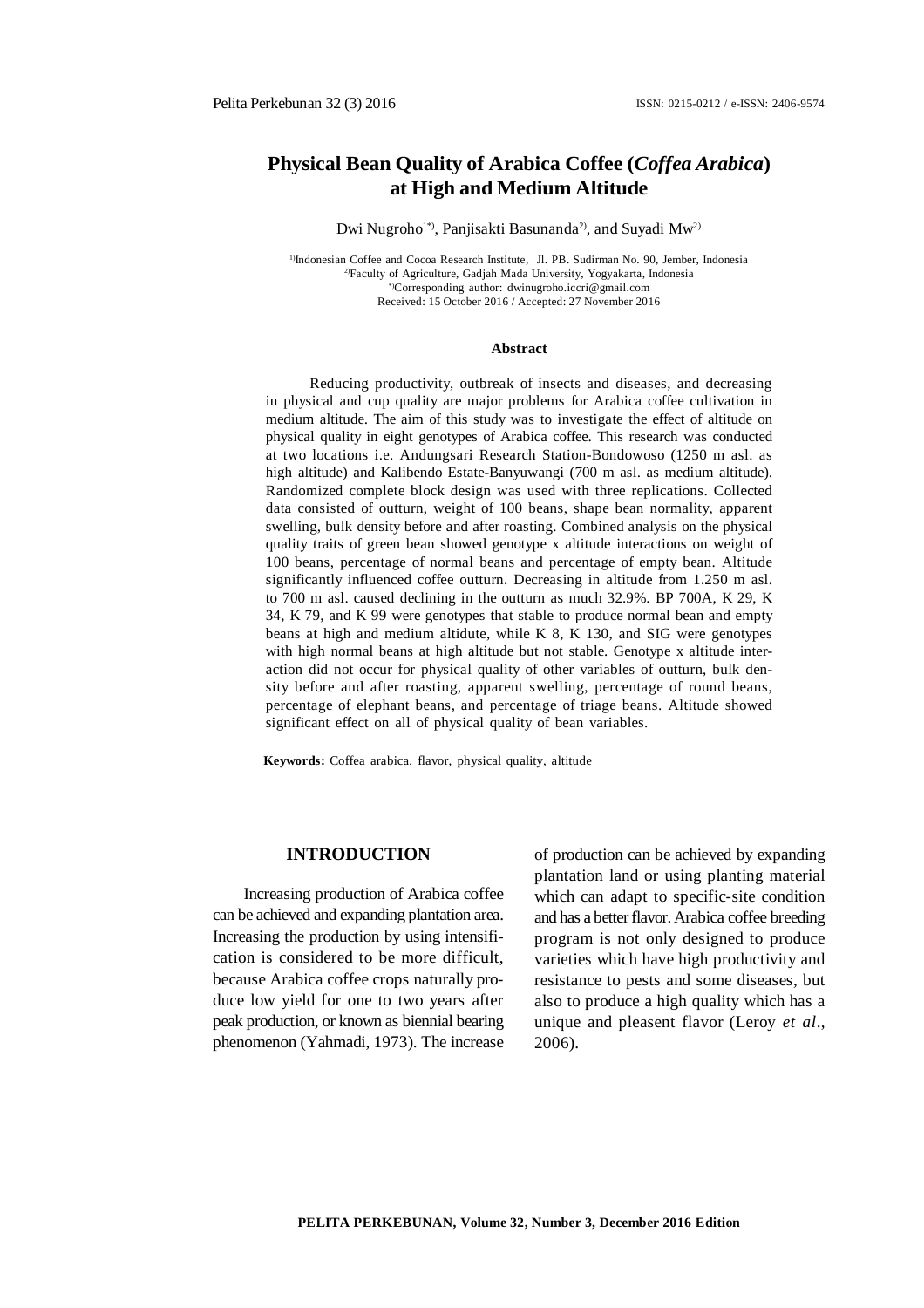# **Physical Bean Quality of Arabica Coffee (***Coffea Arabica***) at High and Medium Altitude**

Dwi Nugroho<sup>1\*</sup>, Panjisakti Basunanda<sup>2</sup>, and Suyadi Mw<sup>2)</sup>

<sup>1)</sup>Indonesian Coffee and Cocoa Research Institute, Jl. PB. Sudirman No. 90, Jember, Indonesia 2)Faculty of Agriculture, Gadjah Mada University, Yogyakarta, Indonesia \*)Corresponding author: [dwinugroho.iccri@gmail.com](mailto:dwinugroho.iccri@gmail.com) Received: 15 October 2016 / Accepted: 27 November 2016

#### **Abstract**

Reducing productivity, outbreak of insects and diseases, and decreasing in physical and cup quality are major problems for Arabica coffee cultivation in medium altitude. The aim of this study was to investigate the effect of altitude on physical quality in eight genotypes of Arabica coffee. This research was conducted at two locations i.e. Andungsari Research Station-Bondowoso (1250 m asl. as high altitude) and Kalibendo Estate-Banyuwangi (700 m asl. as medium altitude). Randomized complete block design was used with three replications. Collected data consisted of outturn, weight of 100 beans, shape bean normality, apparent swelling, bulk density before and after roasting. Combined analysis on the physical quality traits of green bean showed genotype x altitude interactions on weight of 100 beans, percentage of normal beans and percentage of empty bean. Altitude significantly influenced coffee outturn. Decreasing in altitude from 1.250 m asl. to 700 m asl. caused declining in the outturn as much 32.9%. BP 700A, K 29, K 34, K 79, and K 99 were genotypes that stable to produce normal bean and empty beans at high and medium altidute, while K 8, K 130, and SIG were genotypes with high normal beans at high altitude but not stable. Genotype x altitude interaction did not occur for physical quality of other variables of outturn, bulk density before and after roasting, apparent swelling, percentage of round beans, percentage of elephant beans, and percentage of triage beans. Altitude showed significant effect on all of physical quality of bean variables.

**Keywords:** Coffea arabica, flavor, physical quality, altitude

#### **INTRODUCTION**

Increasing production of Arabica coffee can be achieved and expanding plantation area. Increasing the production by using intensification is considered to be more difficult, because Arabica coffee crops naturally produce low yield for one to two years after peak production, or known as biennial bearing phenomenon (Yahmadi, 1973). The increase of production can be achieved by expanding plantation land or using planting material which can adapt to specific-site condition and has a better flavor. Arabica coffee breeding program is not only designed to produce varieties which have high productivity and resistance to pests and some diseases, but also to produce a high quality which has a unique and pleasent flavor (Leroy *et al*., 2006).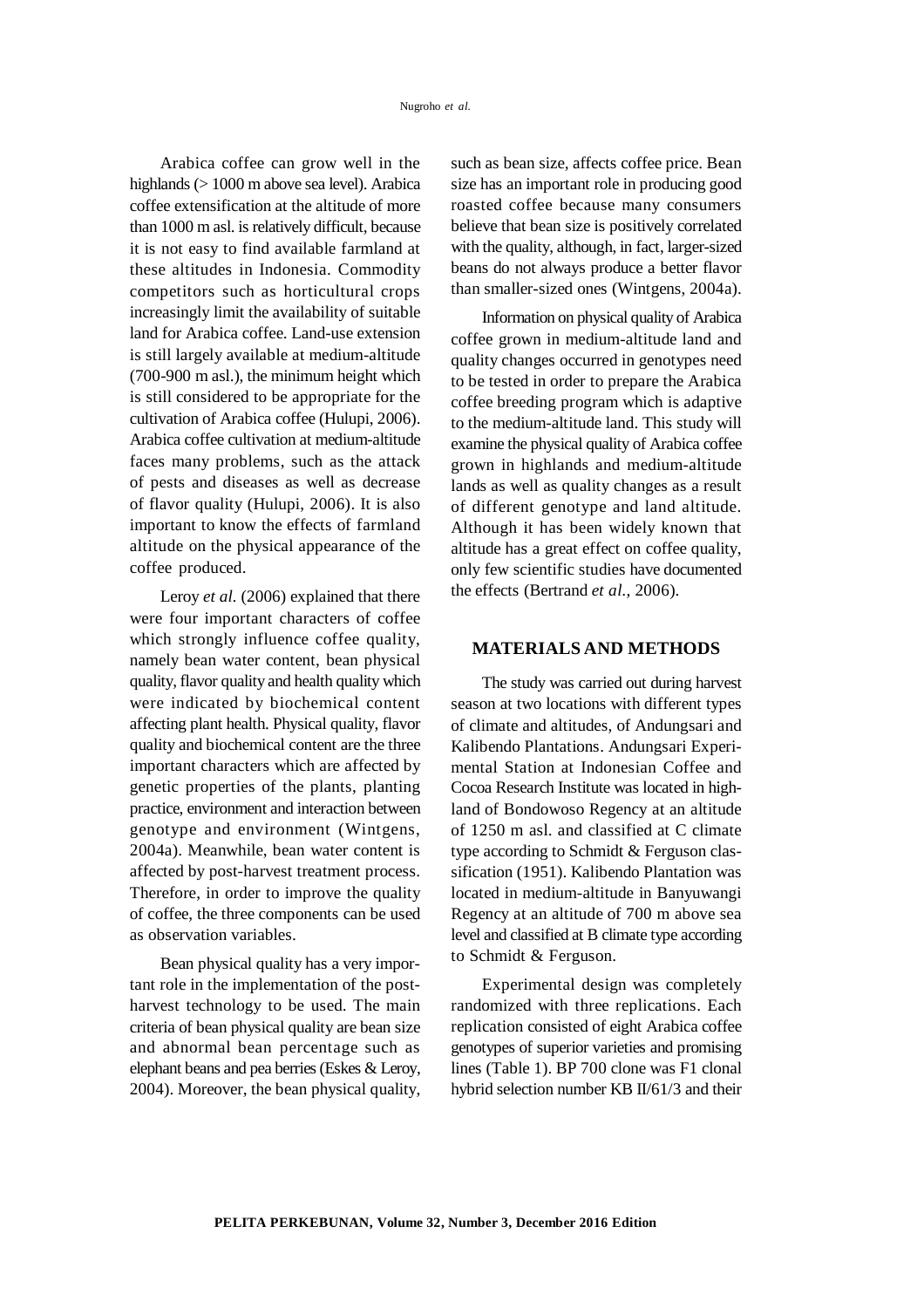Arabica coffee can grow well in the highlands (> 1000 m above sea level). Arabica coffee extensification at the altitude of more than 1000 m asl. is relatively difficult, because it is not easy to find available farmland at these altitudes in Indonesia. Commodity competitors such as horticultural crops increasingly limit the availability of suitable land for Arabica coffee. Land-use extension is still largely available at medium-altitude (700-900 m asl.), the minimum height which is still considered to be appropriate for the cultivation of Arabica coffee (Hulupi, 2006). Arabica coffee cultivation at medium-altitude faces many problems, such as the attack of pests and diseases as well as decrease of flavor quality (Hulupi, 2006). It is also important to know the effects of farmland altitude on the physical appearance of the coffee produced.

Leroy *et al.* (2006) explained that there were four important characters of coffee which strongly influence coffee quality, namely bean water content, bean physical quality, flavor quality and health quality which were indicated by biochemical content affecting plant health. Physical quality, flavor quality and biochemical content are the three important characters which are affected by genetic properties of the plants, planting practice, environment and interaction between genotype and environment (Wintgens, 2004a). Meanwhile, bean water content is affected by post-harvest treatment process. Therefore, in order to improve the quality of coffee, the three components can be used as observation variables.

Bean physical quality has a very important role in the implementation of the postharvest technology to be used. The main criteria of bean physical quality are bean size and abnormal bean percentage such as elephant beans and pea berries (Eskes & Leroy, 2004). Moreover, the bean physical quality, such as bean size, affects coffee price. Bean size has an important role in producing good roasted coffee because many consumers believe that bean size is positively correlated with the quality, although, in fact, larger-sized beans do not always produce a better flavor than smaller-sized ones (Wintgens, 2004a).

Information on physical quality of Arabica coffee grown in medium-altitude land and quality changes occurred in genotypes need to be tested in order to prepare the Arabica coffee breeding program which is adaptive to the medium-altitude land. This study will examine the physical quality of Arabica coffee grown in highlands and medium-altitude lands as well as quality changes as a result of different genotype and land altitude. Although it has been widely known that altitude has a great effect on coffee quality, only few scientific studies have documented the effects (Bertrand *et al.,* 2006).

### **MATERIALS AND METHODS**

The study was carried out during harvest season at two locations with different types of climate and altitudes, of Andungsari and Kalibendo Plantations. Andungsari Experimental Station at Indonesian Coffee and Cocoa Research Institute was located in highland of Bondowoso Regency at an altitude of 1250 m asl. and classified at C climate type according to Schmidt & Ferguson classification (1951). Kalibendo Plantation was located in medium-altitude in Banyuwangi Regency at an altitude of 700 m above sea level and classified at B climate type according to Schmidt & Ferguson.

Experimental design was completely randomized with three replications. Each replication consisted of eight Arabica coffee genotypes of superior varieties and promising lines (Table 1). BP 700 clone was F1 clonal hybrid selection number KB II/61/3 and their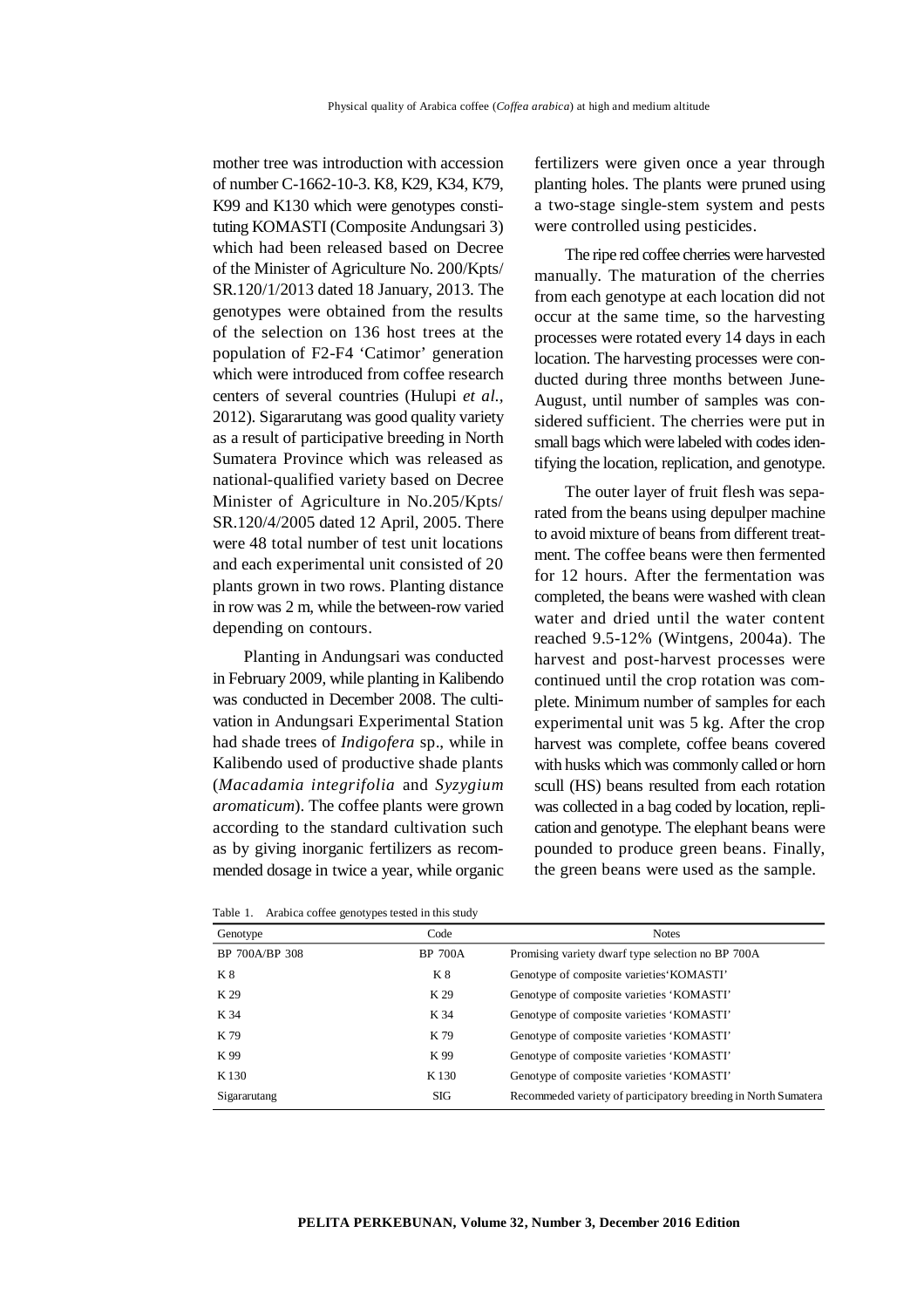mother tree was introduction with accession of number C-1662-10-3. K8, K29, K34, K79, K99 and K130 which were genotypes constituting KOMASTI (Composite Andungsari 3) which had been released based on Decree of the Minister of Agriculture No. 200/Kpts/ SR.120/1/2013 dated 18 January, 2013. The genotypes were obtained from the results of the selection on 136 host trees at the population of F2-F4 'Catimor' generation which were introduced from coffee research centers of several countries (Hulupi *et al.,* 2012). Sigararutang was good quality variety as a result of participative breeding in North Sumatera Province which was released as national-qualified variety based on Decree Minister of Agriculture in No.205/Kpts/ SR.120/4/2005 dated 12 April, 2005. There were 48 total number of test unit locations and each experimental unit consisted of 20 plants grown in two rows. Planting distance in row was 2 m, while the between-row varied depending on contours.

Planting in Andungsari was conducted in February 2009, while planting in Kalibendo was conducted in December 2008. The cultivation in Andungsari Experimental Station had shade trees of *Indigofera* sp., while in Kalibendo used of productive shade plants (*Macadamia integrifolia* and *Syzygium aromaticum*). The coffee plants were grown according to the standard cultivation such as by giving inorganic fertilizers as recommended dosage in twice a year, while organic

| Table 1. Arabica coffee genotypes tested in this study |  |  |  |  |  |  |
|--------------------------------------------------------|--|--|--|--|--|--|
|--------------------------------------------------------|--|--|--|--|--|--|

fertilizers were given once a year through planting holes. The plants were pruned using a two-stage single-stem system and pests were controlled using pesticides.

The ripe red coffee cherries were harvested manually. The maturation of the cherries from each genotype at each location did not occur at the same time, so the harvesting processes were rotated every 14 days in each location. The harvesting processes were conducted during three months between June-August, until number of samples was considered sufficient. The cherries were put in small bags which were labeled with codes identifying the location, replication, and genotype.

The outer layer of fruit flesh was separated from the beans using depulper machine to avoid mixture of beans from different treatment. The coffee beans were then fermented for 12 hours. After the fermentation was completed, the beans were washed with clean water and dried until the water content reached 9.5-12% (Wintgens, 2004a). The harvest and post-harvest processes were continued until the crop rotation was complete. Minimum number of samples for each experimental unit was 5 kg. After the crop harvest was complete, coffee beans covered with husks which was commonly called or horn scull (HS) beans resulted from each rotation was collected in a bag coded by location, replication and genotype. The elephant beans were pounded to produce green beans. Finally, the green beans were used as the sample.

| Genotype       | Code           | <b>Notes</b>                                                   |
|----------------|----------------|----------------------------------------------------------------|
| BP 700A/BP 308 | <b>BP 700A</b> | Promising variety dwarf type selection no BP 700A              |
| K 8            | K 8            | Genotype of composite varieties KOMASTI'                       |
| K 29           | K 29           | Genotype of composite varieties 'KOMASTI'                      |
| K 34           | K 34           | Genotype of composite varieties 'KOMASTI'                      |
| K 79           | K 79           | Genotype of composite varieties 'KOMASTI'                      |
| K 99           | K 99           | Genotype of composite varieties 'KOMASTI'                      |
| K 130          | K130           | Genotype of composite varieties 'KOMASTI'                      |
| Sigararutang   | SIG            | Recommeded variety of participatory breeding in North Sumatera |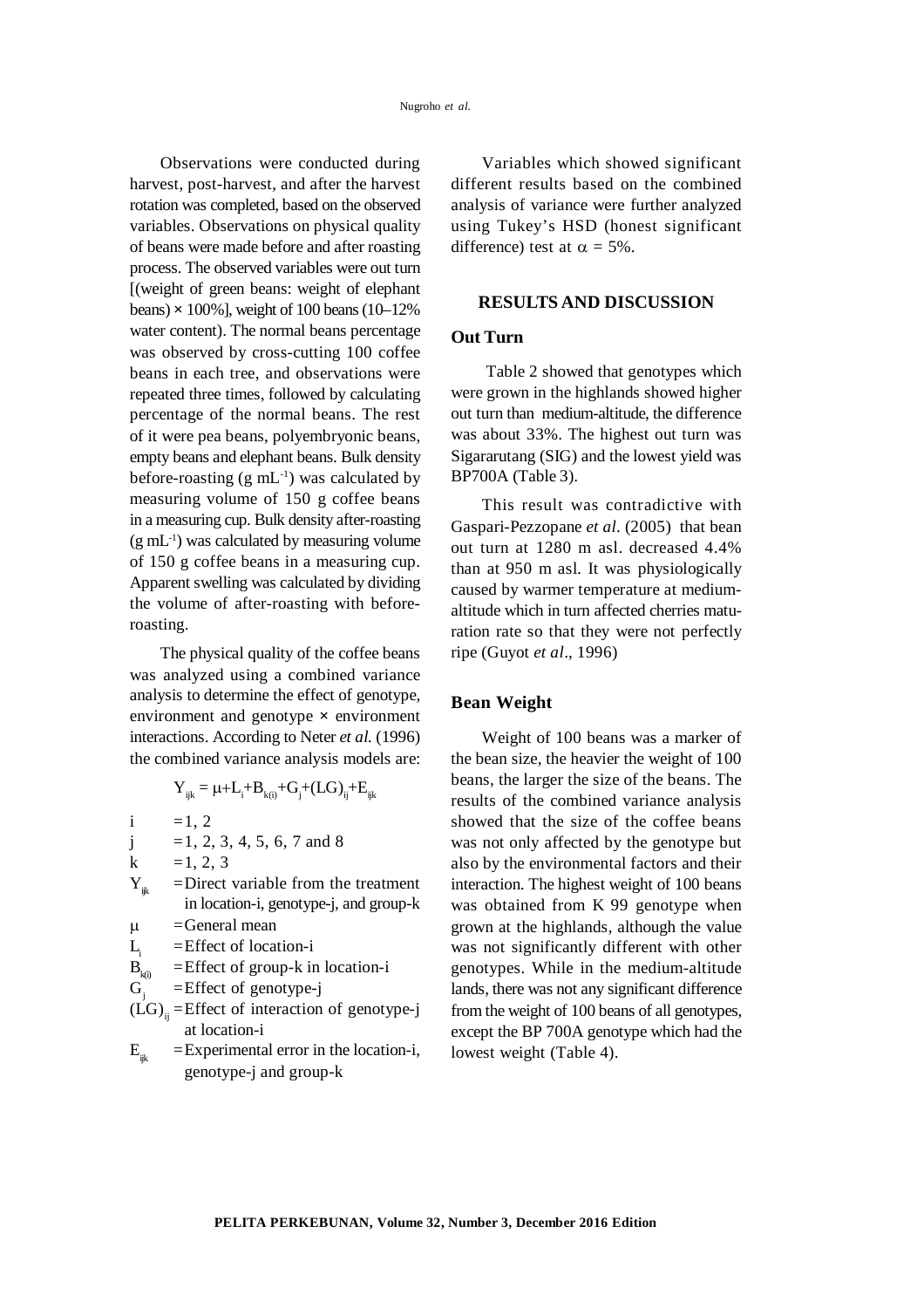Observations were conducted during harvest, post-harvest, and after the harvest rotation was completed, based on the observed variables. Observations on physical quality of beans were made before and after roasting process. The observed variables were out turn [(weight of green beans: weight of elephant beans)  $\times$  100%], weight of 100 beans (10–12%) water content). The normal beans percentage was observed by cross-cutting 100 coffee beans in each tree, and observations were repeated three times, followed by calculating percentage of the normal beans. The rest of it were pea beans, polyembryonic beans, empty beans and elephant beans. Bulk density before-roasting  $(g \text{ mL}^{-1})$  was calculated by measuring volume of 150 g coffee beans in a measuring cup. Bulk density after-roasting  $(g \text{ mL}^{-1})$  was calculated by measuring volume of 150 g coffee beans in a measuring cup. Apparent swelling was calculated by dividing the volume of after-roasting with beforeroasting.

The physical quality of the coffee beans was analyzed using a combined variance analysis to determine the effect of genotype, environment and genotype **×** environment interactions. According to Neter *et al.* (1996) the combined variance analysis models are:

$$
Y_{ijk} = \mu + L_i + B_{k(i)} + G_j + (LG)_{ij} + E_{ijk}
$$

i =1, 2

$$
j = 1, 2, 3, 4, 5, 6, 7
$$
 and 8

k =1, 2, 3<br>Y<sub>n</sub> =Direct  $=$ Direct variable from the treatment in location-i, genotype-j, and group-k

 $\mu$  = General mean

 $L$ =Effect of location-i

$$
B_{k(i)} = \text{Effect of group-k in location-i}
$$

 $G<sub>1</sub>$ =Effect of genotype-j

- $(LG)$ <sub>ii</sub> =Effect of interaction of genotype-j at location-i
- $E_{ik}$  = Experimental error in the location-i, genotype-j and group-k

Variables which showed significant different results based on the combined analysis of variance were further analyzed using Tukey's HSD (honest significant difference) test at  $\alpha = 5\%$ .

### **RESULTS AND DISCUSSION**

# **Out Turn**

Table 2 showed that genotypes which were grown in the highlands showed higher out turn than medium-altitude, the difference was about 33%. The highest out turn was Sigararutang (SIG) and the lowest yield was BP700A (Table 3).

This result was contradictive with Gaspari-Pezzopane *et al*. (2005) that bean out turn at 1280 m asl. decreased 4.4% than at 950 m asl. It was physiologically caused by warmer temperature at mediumaltitude which in turn affected cherries maturation rate so that they were not perfectly ripe (Guyot *et al*., 1996)

## **Bean Weight**

Weight of 100 beans was a marker of the bean size, the heavier the weight of 100 beans, the larger the size of the beans. The results of the combined variance analysis showed that the size of the coffee beans was not only affected by the genotype but also by the environmental factors and their interaction. The highest weight of 100 beans was obtained from K 99 genotype when grown at the highlands, although the value was not significantly different with other genotypes. While in the medium-altitude lands, there was not any significant difference from the weight of 100 beans of all genotypes, except the BP 700A genotype which had the lowest weight (Table 4).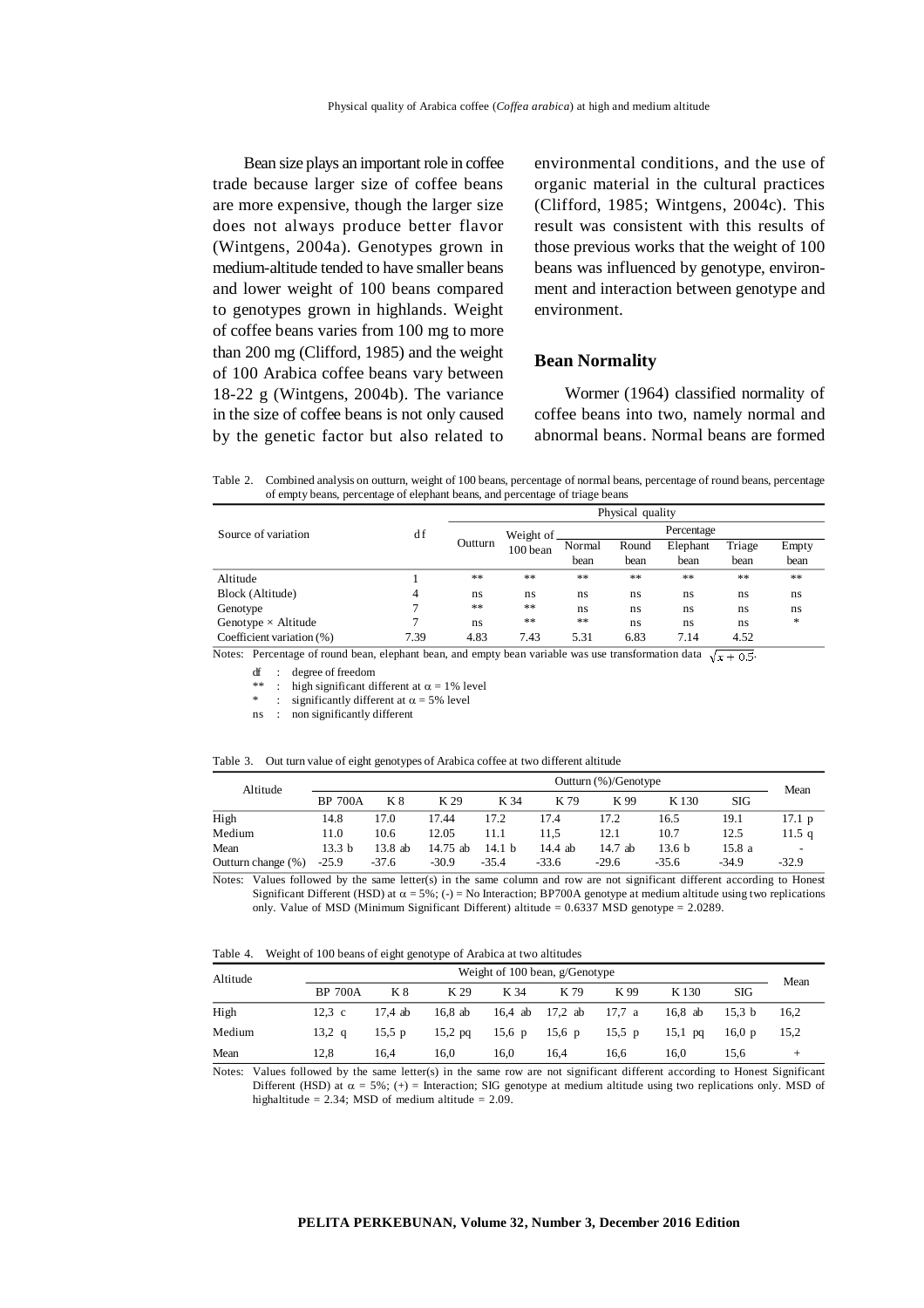Bean size plays an important role in coffee trade because larger size of coffee beans are more expensive, though the larger size does not always produce better flavor (Wintgens, 2004a). Genotypes grown in medium-altitude tended to have smaller beans and lower weight of 100 beans compared to genotypes grown in highlands. Weight of coffee beans varies from 100 mg to more than 200 mg (Clifford, 1985) and the weight of 100 Arabica coffee beans vary between 18-22 g (Wintgens, 2004b). The variance in the size of coffee beans is not only caused by the genetic factor but also related to environmental conditions, and the use of organic material in the cultural practices (Clifford, 1985; Wintgens, 2004c). This result was consistent with this results of those previous works that the weight of 100 beans was influenced by genotype, environment and interaction between genotype and environment.

#### **Bean Normality**

Wormer (1964) classified normality of coffee beans into two, namely normal and abnormal beans. Normal beans are formed

Table 2. Combined analysis on outturn, weight of 100 beans, percentage of normal beans, percentage of round beans, percentage of empty beans, percentage of elephant beans, and percentage of triage beans

|                            |      |         |            |        | Physical quality |            |        |       |
|----------------------------|------|---------|------------|--------|------------------|------------|--------|-------|
| Source of variation        | d f  |         | Weight of. |        |                  | Percentage |        |       |
|                            |      | Outturn | 100 bean   | Normal | Round            | Elephant   | Triage | Empty |
|                            |      |         |            | bean   | bean             | bean       | bean   | bean  |
| Altitude                   |      | **      | **         | **     | **               | **         | **     | **    |
| Block (Altitude)           | 4    | ns      | ns         | ns     | ns               | ns         | ns     | ns    |
| Genotype                   |      | **      | **         | ns     | ns               | ns         | ns     | ns    |
| Genotype $\times$ Altitude | 7    | ns      | **         | **     | ns               | ns         | ns     | *     |
| Coefficient variation (%)  | 7.39 | 4.83    | 7.43       | 5.31   | 6.83             | 7.14       | 4.52   |       |

Notes: Percentage of round bean, elephant bean, and empty bean variable was use transformation data  $\sqrt{x + 0.5}$ .

df : degree of freedom

\*\* : high significant different at  $\alpha = 1\%$  level

: significantly different at  $\alpha = 5\%$  level

ns : non significantly different

|  | Table 3. Out turn value of eight genotypes of Arabica coffee at two different altitude |  |  |  |
|--|----------------------------------------------------------------------------------------|--|--|--|
|--|----------------------------------------------------------------------------------------|--|--|--|

| Altitude           |                   |           |            |          |         | Outturn (%)/Genotype |                   |         | Mean            |
|--------------------|-------------------|-----------|------------|----------|---------|----------------------|-------------------|---------|-----------------|
|                    | <b>BP 700A</b>    | K 8       | K 29       | K 34     | K 79    | K 99                 | K <sub>130</sub>  | SIG     |                 |
| High               | 14.8              | 17.0      | 17.44      | 17.2     | 17.4    | 17.2                 | 16.5              | 19.1    | $17.1\text{ p}$ |
| Medium             | 11.0              | 10.6      | 12.05      | 11.1     | 11.5    | 12.1                 | 10.7              | 12.5    | $11.5\;q$       |
| Mean               | 13.3 <sub>b</sub> | $13.8$ ab | $14.75$ ab | 14.1 $h$ | 14.4 ab | $14.7$ ab            | 13.6 <sub>b</sub> | 15.8 a  |                 |
| Outturn change (%) | $-25.9$           | $-37.6$   | $-30.9$    | $-35.4$  | $-33.6$ | $-29.6$              | $-35.6$           | $-34.9$ | $-32.9$         |

Notes: Values followed by the same letter(s) in the same column and row are not significant different according to Honest Significant Different (HSD) at  $\alpha = 5\%$ ; (-) = No Interaction; BP700A genotype at medium altitude using two replications only. Value of MSD (Minimum Significant Different) altitude = 0.6337 MSD genotype = 2.0289.

Table 4. Weight of 100 beans of eight genotype of Arabica at two altitudes

| Altitude | Weight of 100 bean, g/Genotype |          |           |      |                        |          |           |                   |      |
|----------|--------------------------------|----------|-----------|------|------------------------|----------|-----------|-------------------|------|
|          | <b>BP 700A</b>                 | K 8      | K 29      | K 34 | K 79                   | K 99     | K 130     | SIG               | Mean |
| High     | $12.3\text{ c}$                | 17.4 ab  | 16.8 ab   |      | 16,4 ab 17,2 ab 17,7 a |          | 16.8 ab   | 15.3 <sub>b</sub> | 16,2 |
| Medium   | 13,2 $q$                       | 15.5 $p$ | $15,2$ pq |      | 15,6 p 15,6 p          | 15.5 $p$ | $15.1$ pq | 16.0 <sub>p</sub> | 15,2 |
| Mean     | 12.8                           | 16.4     | 16.0      | 16.0 | 16.4                   | 16.6     | 16.0      | 15.6              | ÷    |

Notes: Values followed by the same letter(s) in the same row are not significant different according to Honest Significant Different (HSD) at  $\alpha = 5\%$ ; (+) = Interaction; SIG genotype at medium altitude using two replications only. MSD of highaltitude = 2.34; MSD of medium altitude =  $2.09$ .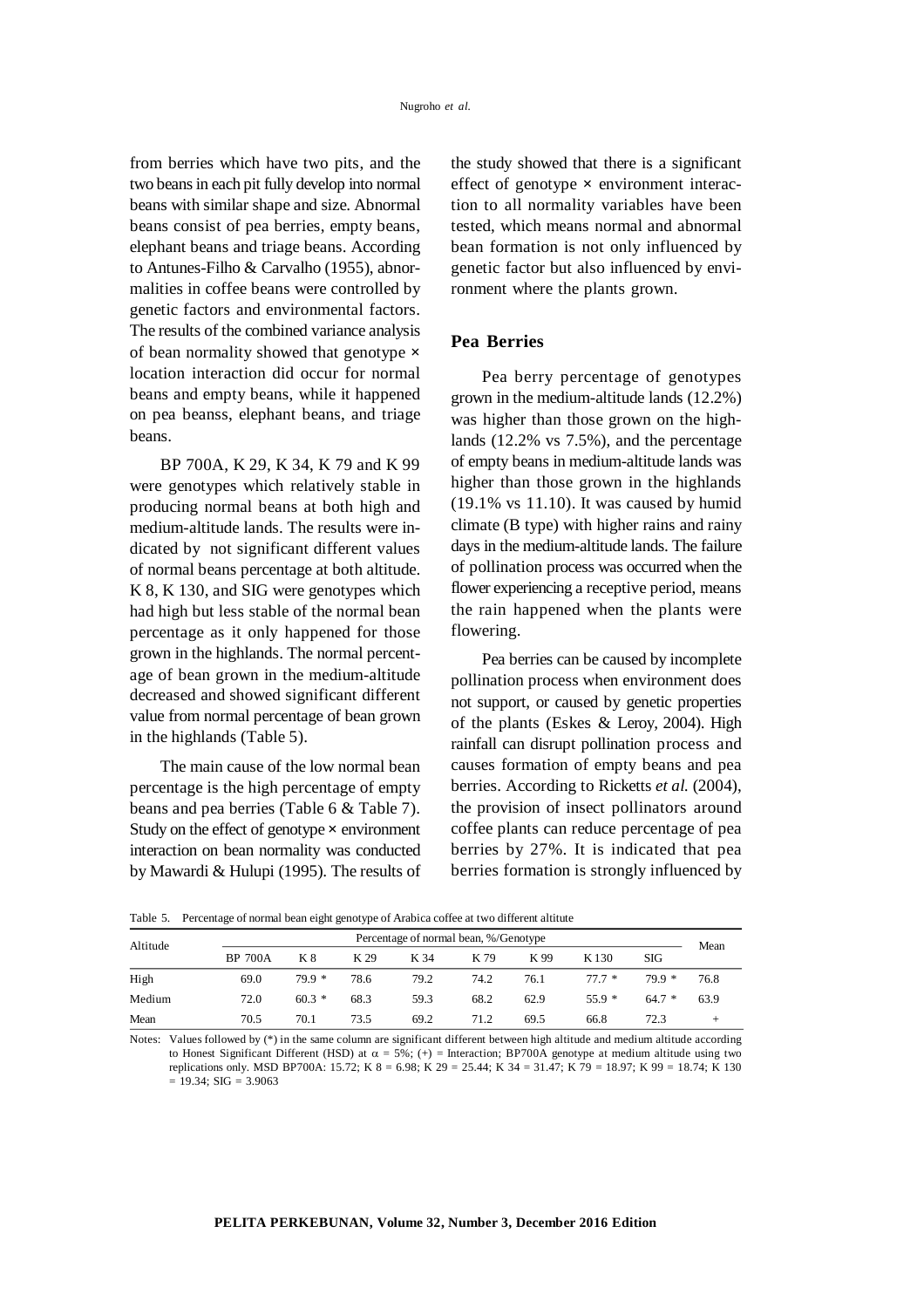from berries which have two pits, and the two beans in each pit fully develop into normal beans with similar shape and size. Abnormal beans consist of pea berries, empty beans, elephant beans and triage beans. According to Antunes-Filho & Carvalho (1955), abnormalities in coffee beans were controlled by genetic factors and environmental factors. The results of the combined variance analysis of bean normality showed that genotype **×** location interaction did occur for normal beans and empty beans, while it happened on pea beanss, elephant beans, and triage beans.

BP 700A, K 29, K 34, K 79 and K 99 were genotypes which relatively stable in producing normal beans at both high and medium-altitude lands. The results were indicated by not significant different values of normal beans percentage at both altitude. K 8, K 130, and SIG were genotypes which had high but less stable of the normal bean percentage as it only happened for those grown in the highlands. The normal percentage of bean grown in the medium-altitude decreased and showed significant different value from normal percentage of bean grown in the highlands (Table 5).

The main cause of the low normal bean percentage is the high percentage of empty beans and pea berries (Table 6 & Table 7). Study on the effect of genotype **×** environment interaction on bean normality was conducted by Mawardi & Hulupi (1995). The results of the study showed that there is a significant effect of genotype **×** environment interaction to all normality variables have been tested, which means normal and abnormal bean formation is not only influenced by genetic factor but also influenced by environment where the plants grown.

## **Pea Berries**

Pea berry percentage of genotypes grown in the medium-altitude lands (12.2%) was higher than those grown on the highlands (12.2% vs 7.5%), and the percentage of empty beans in medium-altitude lands was higher than those grown in the highlands (19.1% vs 11.10). It was caused by humid climate (B type) with higher rains and rainy days in the medium-altitude lands. The failure of pollination process was occurred when the flower experiencing a receptive period, means the rain happened when the plants were flowering.

Pea berries can be caused by incomplete pollination process when environment does not support, or caused by genetic properties of the plants (Eskes & Leroy, 2004). High rainfall can disrupt pollination process and causes formation of empty beans and pea berries. According to Ricketts *et al.* (2004), the provision of insect pollinators around coffee plants can reduce percentage of pea berries by 27%. It is indicated that pea berries formation is strongly influenced by

Table 5. Percentage of normal bean eight genotype of Arabica coffee at two different altitute

| Altitude |                | Percentage of normal bean, %/Genotype |      |      |      |      |         |         |          |
|----------|----------------|---------------------------------------|------|------|------|------|---------|---------|----------|
|          | <b>BP 700A</b> | K 8                                   | K 29 | K 34 | K 79 | K 99 | K 130   | SIG     | Mean     |
| High     | 69.0           | $79.9*$                               | 78.6 | 79.2 | 74.2 | 76.1 | $777*$  | $79.9*$ | 76.8     |
| Medium   | 72.0           | $60.3*$                               | 68.3 | 59.3 | 68.2 | 62.9 | $55.9*$ | $64.7*$ | 63.9     |
| Mean     | 70.5           | 70.1                                  | 73.5 | 69.2 | 71.2 | 69.5 | 66.8    | 72.3    | <b>+</b> |

Notes: Values followed by  $(*)$  in the same column are significant different between high altitude and medium altitude according to Honest Significant Different (HSD) at  $\alpha = 5\%$ ; (+) = Interaction; BP700A genotype at medium altitude using two replications only. MSD BP700A: 15.72; K 8 = 6.98; K 29 = 25.44; K 34 = 31.47; K 79 = 18.97; K 99 = 18.74; K 130  $= 19.34$ ; SIG  $= 3.9063$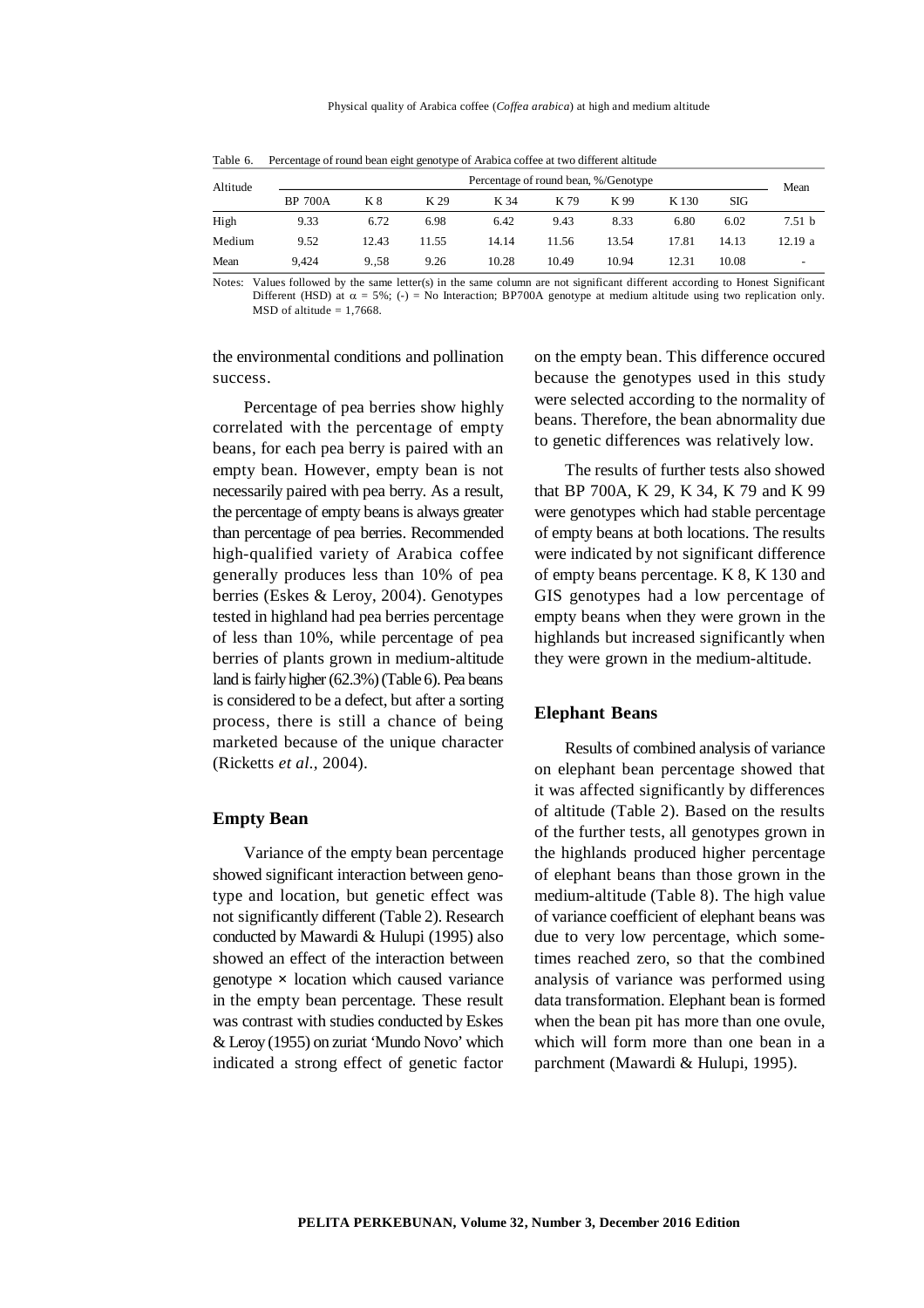| Altitude |                | Percentage of round bean, %/Genotype |       |       |       |       |                  |       |                          |  |
|----------|----------------|--------------------------------------|-------|-------|-------|-------|------------------|-------|--------------------------|--|
|          | <b>BP 700A</b> | K 8                                  | K 29  | K 34  | K 79  | K 99  | K <sub>130</sub> | SIG   | Mean                     |  |
| High     | 9.33           | 6.72                                 | 6.98  | 6.42  | 9.43  | 8.33  | 6.80             | 6.02  | 7.51 <sub>b</sub>        |  |
| Medium   | 9.52           | 12.43                                | 11.55 | 14.14 | 11.56 | 13.54 | 17.81            | 14.13 | 12.19a                   |  |
| Mean     | 9.424          | 9.58                                 | 9.26  | 10.28 | 10.49 | 10.94 | 12.31            | 10.08 | $\overline{\phantom{0}}$ |  |

Table 6. Percentage of round bean eight genotype of Arabica coffee at two different altitude

Notes: Values followed by the same letter(s) in the same column are not significant different according to Honest Significant Different (HSD) at  $\alpha = 5\%$ ; (-) = No Interaction; BP700A genotype at medium altitude using two replication only.  $MSD$  of altitude = 1,7668.

the environmental conditions and pollination success.

Percentage of pea berries show highly correlated with the percentage of empty beans, for each pea berry is paired with an empty bean. However, empty bean is not necessarily paired with pea berry. As a result, the percentage of empty beans is always greater than percentage of pea berries. Recommended high-qualified variety of Arabica coffee generally produces less than 10% of pea berries (Eskes & Leroy, 2004). Genotypes tested in highland had pea berries percentage of less than 10%, while percentage of pea berries of plants grown in medium-altitude land is fairly higher (62.3%) (Table 6). Pea beans is considered to be a defect, but after a sorting process, there is still a chance of being marketed because of the unique character (Ricketts *et al.,* 2004).

### **Empty Bean**

Variance of the empty bean percentage showed significant interaction between genotype and location, but genetic effect was not significantly different (Table 2). Research conducted by Mawardi & Hulupi (1995) also showed an effect of the interaction between genotype **×** location which caused variance in the empty bean percentage. These result was contrast with studies conducted by Eskes & Leroy (1955) on zuriat 'Mundo Novo' which indicated a strong effect of genetic factor on the empty bean. This difference occured because the genotypes used in this study were selected according to the normality of beans. Therefore, the bean abnormality due to genetic differences was relatively low.

The results of further tests also showed that BP 700A, K 29, K 34, K 79 and K 99 were genotypes which had stable percentage of empty beans at both locations. The results were indicated by not significant difference of empty beans percentage. K 8, K 130 and GIS genotypes had a low percentage of empty beans when they were grown in the highlands but increased significantly when they were grown in the medium-altitude.

### **Elephant Beans**

Results of combined analysis of variance on elephant bean percentage showed that it was affected significantly by differences of altitude (Table 2). Based on the results of the further tests, all genotypes grown in the highlands produced higher percentage of elephant beans than those grown in the medium-altitude (Table 8). The high value of variance coefficient of elephant beans was due to very low percentage, which sometimes reached zero, so that the combined analysis of variance was performed using data transformation. Elephant bean is formed when the bean pit has more than one ovule, which will form more than one bean in a parchment (Mawardi & Hulupi, 1995).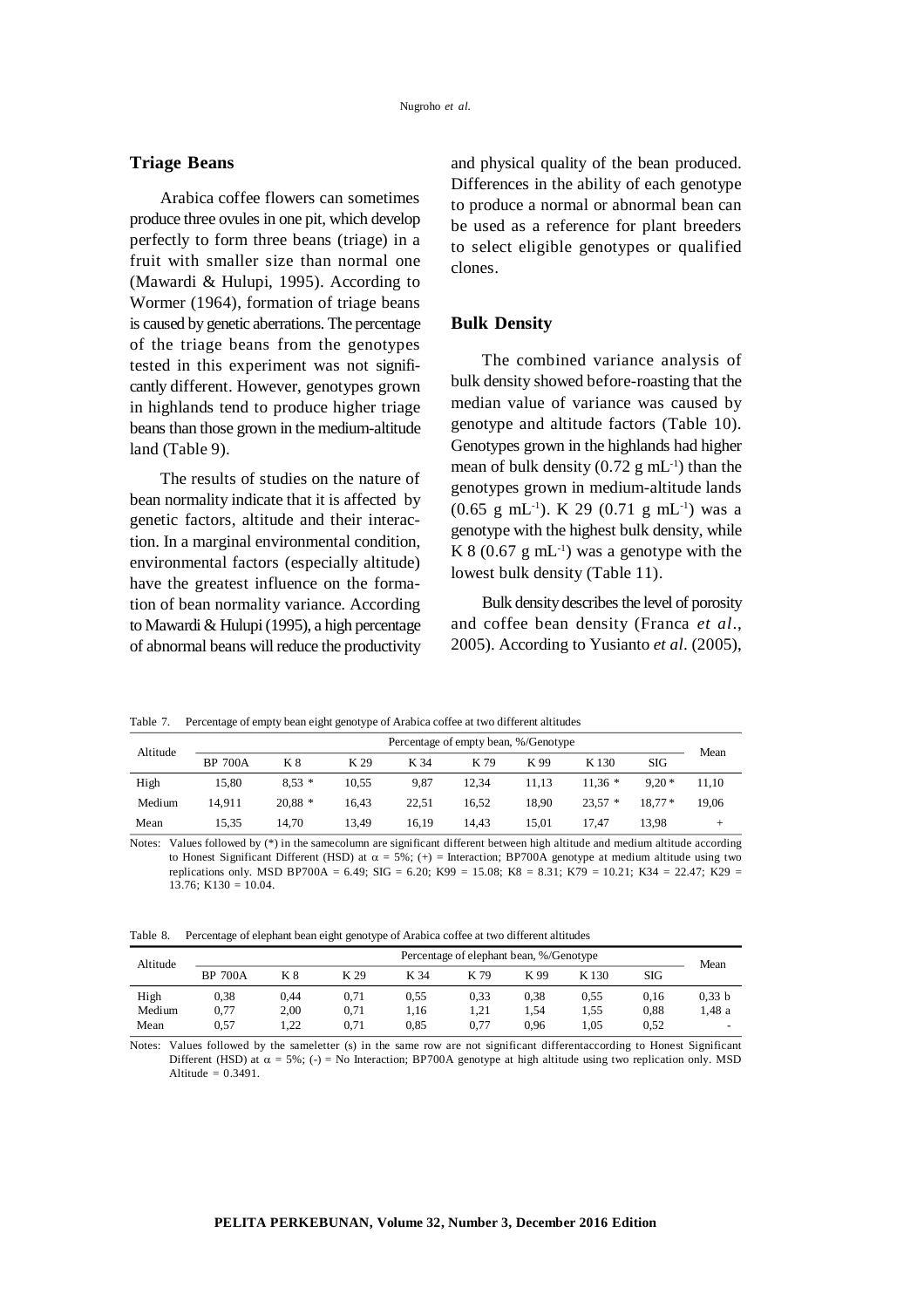## **Triage Beans**

Arabica coffee flowers can sometimes produce three ovules in one pit, which develop perfectly to form three beans (triage) in a fruit with smaller size than normal one (Mawardi & Hulupi, 1995). According to Wormer (1964), formation of triage beans is caused by genetic aberrations. The percentage of the triage beans from the genotypes tested in this experiment was not significantly different. However, genotypes grown in highlands tend to produce higher triage beans than those grown in the medium-altitude land (Table 9).

The results of studies on the nature of bean normality indicate that it is affected by genetic factors, altitude and their interaction. In a marginal environmental condition, environmental factors (especially altitude) have the greatest influence on the formation of bean normality variance. According to Mawardi & Hulupi (1995), a high percentage of abnormal beans will reduce the productivity and physical quality of the bean produced. Differences in the ability of each genotype to produce a normal or abnormal bean can be used as a reference for plant breeders to select eligible genotypes or qualified clones.

### **Bulk Density**

The combined variance analysis of bulk density showed before-roasting that the median value of variance was caused by genotype and altitude factors (Table 10). Genotypes grown in the highlands had higher mean of bulk density  $(0.72 \text{ g} \text{ mL}^{-1})$  than the genotypes grown in medium-altitude lands  $(0.65 \text{ g } mL^{-1})$ . K 29  $(0.71 \text{ g } mL^{-1})$  was a genotype with the highest bulk density, while K 8 (0.67 g mL<sup>-1</sup>) was a genotype with the lowest bulk density (Table 11).

Bulk density describes the level of porosity and coffee bean density (Franca *et al*., 2005). According to Yusianto *et al*. (2005),

Table 7. Percentage of empty bean eight genotype of Arabica coffee at two different altitudes

| Altitude |                | Percentage of empty bean, %/Genotype |       |       |       |       |          |          |       |  |  |
|----------|----------------|--------------------------------------|-------|-------|-------|-------|----------|----------|-------|--|--|
|          | <b>BP 700A</b> | K 8                                  | K 29  | K 34  | K 79  | K 99  | K 130    | SIG      | Mean  |  |  |
| High     | 15.80          | $8.53*$                              | 10.55 | 9.87  | 12.34 | 11.13 | $11.36*$ | $9.20*$  | 11.10 |  |  |
| Medium   | 14.911         | $20.88*$                             | 16.43 | 22.51 | 16.52 | 18.90 | $23.57*$ | $18.77*$ | 19.06 |  |  |
| Mean     | 15.35          | 14.70                                | 13.49 | 16.19 | 14.43 | 15.01 | 17.47    | 13.98    | -     |  |  |

Notes: Values followed by (\*) in the samecolumn are significant different between high altitude and medium altitude according to Honest Significant Different (HSD) at  $\alpha = 5\%$ ; (+) = Interaction; BP700A genotype at medium altitude using two replications only. MSD BP700A = 6.49; SIG = 6.20; K99 = 15.08; K8 = 8.31; K79 = 10.21; K34 = 22.47; K29 =  $13.76$ ; K $130 = 10.04$ .

|  |  | Table 8. Percentage of elephant bean eight genotype of Arabica coffee at two different altitudes |
|--|--|--------------------------------------------------------------------------------------------------|
|  |  |                                                                                                  |

| Altitude | Percentage of elephant bean, %/Genotype |      |      |      |      |      |       |      |        |  |
|----------|-----------------------------------------|------|------|------|------|------|-------|------|--------|--|
|          | <b>BP 700A</b>                          | K 8  | K 29 | K 34 | K 79 | K 99 | K 130 | SIG  | Mean   |  |
| High     | 0.38                                    | 0.44 | 0.71 | 0.55 | 0.33 | 0.38 | 0.55  | 0.16 | 0,33 b |  |
| Medium   | 0,77                                    | 2,00 | 0.71 | 1.16 | 1.21 | 1.54 | 1.55  | 0.88 | 1.48 a |  |
| Mean     | 0.57                                    | 1.22 | 0.71 | 0.85 | 0.77 | 0.96 | 1.05  | 0.52 | -      |  |

Notes: Values followed by the sameletter (s) in the same row are not significant differentaccording to Honest Significant Different (HSD) at  $\alpha = 5\%$ ; (-) = No Interaction; BP700A genotype at high altitude using two replication only. MSD Altitude  $= 0.3491$ .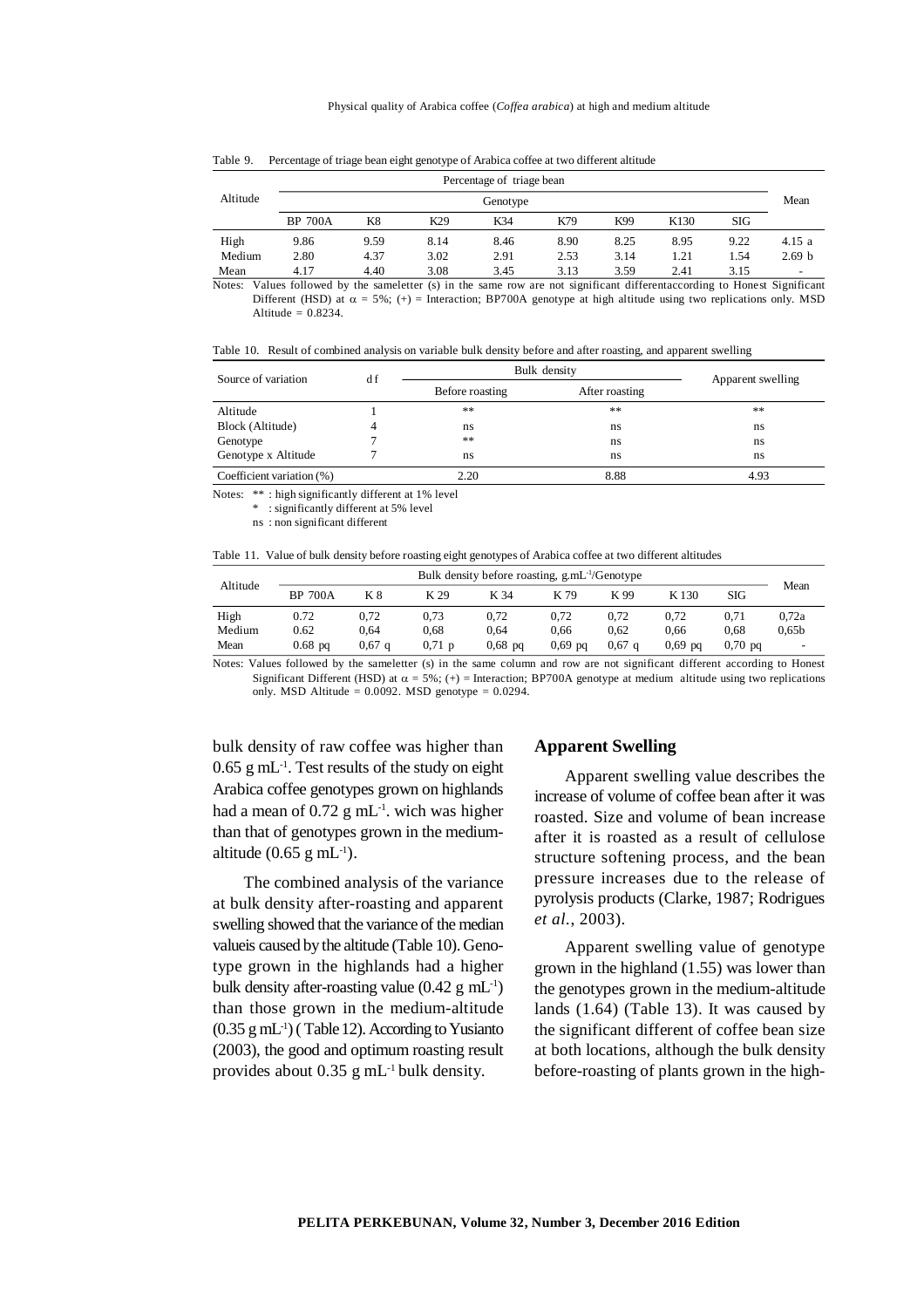|          |                | Percentage of triage bean |                 |          |      |      |                  |            |                   |  |  |
|----------|----------------|---------------------------|-----------------|----------|------|------|------------------|------------|-------------------|--|--|
| Altitude |                |                           |                 | Genotype |      |      |                  |            | Mean              |  |  |
|          | <b>BP 700A</b> | K8                        | K <sub>29</sub> | K34      | K79  | K99  | K <sub>130</sub> | <b>SIG</b> |                   |  |  |
| High     | 9.86           | 9.59                      | 8.14            | 8.46     | 8.90 | 8.25 | 8.95             | 9.22       | 4.15 a            |  |  |
| Medium   | 2.80           | 4.37                      | 3.02            | 2.91     | 2.53 | 3.14 | 1.21             | 1.54       | 2.69 <sub>b</sub> |  |  |
| Mean     | 4.17           | 4.40                      | 3.08            | 3.45     | 3.13 | 3.59 | 2.41             | 3.15       | -                 |  |  |

Table 9. Percentage of triage bean eight genotype of Arabica coffee at two different altitude

Notes: Values followed by the sameletter (s) in the same row are not significant differentaccording to Honest Significant Different (HSD) at  $\alpha = 5\%$ ; (+) = Interaction; BP700A genotype at high altitude using two replications only. MSD Altitude =  $0.8234$ .

Table 10. Result of combined analysis on variable bulk density before and after roasting, and apparent swelling

| Source of variation       | Bulk density    | Apparent swelling |      |  |
|---------------------------|-----------------|-------------------|------|--|
|                           | Before roasting | After roasting    |      |  |
| Altitude                  | **              | **                | **   |  |
| Block (Altitude)          | ns              | ns                | ns   |  |
| Genotype                  | **              | ns                | ns   |  |
| Genotype x Altitude       | ns              | ns                | ns   |  |
| Coefficient variation (%) | 2.20            | 8.88              | 4.93 |  |

Notes: \*\* : high significantly different at 1% level

\* : significantly different at 5% level

ns : non significant different

Table 11. Value of bulk density before roasting eight genotypes of Arabica coffee at two different altitudes

| Altitude | Bulk density before roasting, $g.mL^{-1}/Genotype$ |                   |          |           |           |                   |           |           |                   |
|----------|----------------------------------------------------|-------------------|----------|-----------|-----------|-------------------|-----------|-----------|-------------------|
|          | <b>BP 700A</b>                                     | Κ8                | K 29     | K 34      | K 79      | K 99              | K 130     | SIG       | Mean              |
| High     | 0.72                                               | 0.72              | 0.73     | 0.72      | 0.72      | 0.72              | 0.72      | 0.71      | 0.72a             |
| Medium   | 0.62                                               | 0.64              | 0.68     | 0.64      | 0.66      | 0.62              | 0.66      | 0.68      | 0.65 <sub>b</sub> |
| Mean     | $0.68$ pq                                          | 0.67 <sub>a</sub> | $0.71$ p | $0,68$ pq | $0.69$ pq | 0.67 <sub>a</sub> | $0.69$ pa | $0.70$ pa | -                 |
|          |                                                    |                   |          |           |           |                   |           |           |                   |

Notes: Values followed by the sameletter (s) in the same column and row are not significant different according to Honest Significant Different (HSD) at  $\alpha = 5\%$ ; (+) = Interaction; BP700A genotype at medium altitude using two replications only. MSD Altitude =  $0.0092$ . MSD genotype =  $0.0294$ .

bulk density of raw coffee was higher than  $0.65$  g mL<sup>-1</sup>. Test results of the study on eight Arabica coffee genotypes grown on highlands had a mean of  $0.72$  g mL<sup>-1</sup>. wich was higher than that of genotypes grown in the mediumaltitude  $(0.65 \text{ g} \text{ mL}^{-1})$ .

The combined analysis of the variance at bulk density after-roasting and apparent swelling showed that the variance of the median valueis caused by the altitude (Table 10). Genotype grown in the highlands had a higher bulk density after-roasting value  $(0.42 \text{ g } \text{mL}^{-1})$ than those grown in the medium-altitude  $(0.35 \text{ g} \text{ mL}^{-1})$  (Table 12). According to Yusianto (2003), the good and optimum roasting result provides about 0.35 g mL-1 bulk density.

### **Apparent Swelling**

Apparent swelling value describes the increase of volume of coffee bean after it was roasted. Size and volume of bean increase after it is roasted as a result of cellulose structure softening process, and the bean pressure increases due to the release of pyrolysis products (Clarke, 1987; Rodrigues *et al.*, 2003).

Apparent swelling value of genotype grown in the highland (1.55) was lower than the genotypes grown in the medium-altitude lands (1.64) (Table 13). It was caused by the significant different of coffee bean size at both locations, although the bulk density before-roasting of plants grown in the high-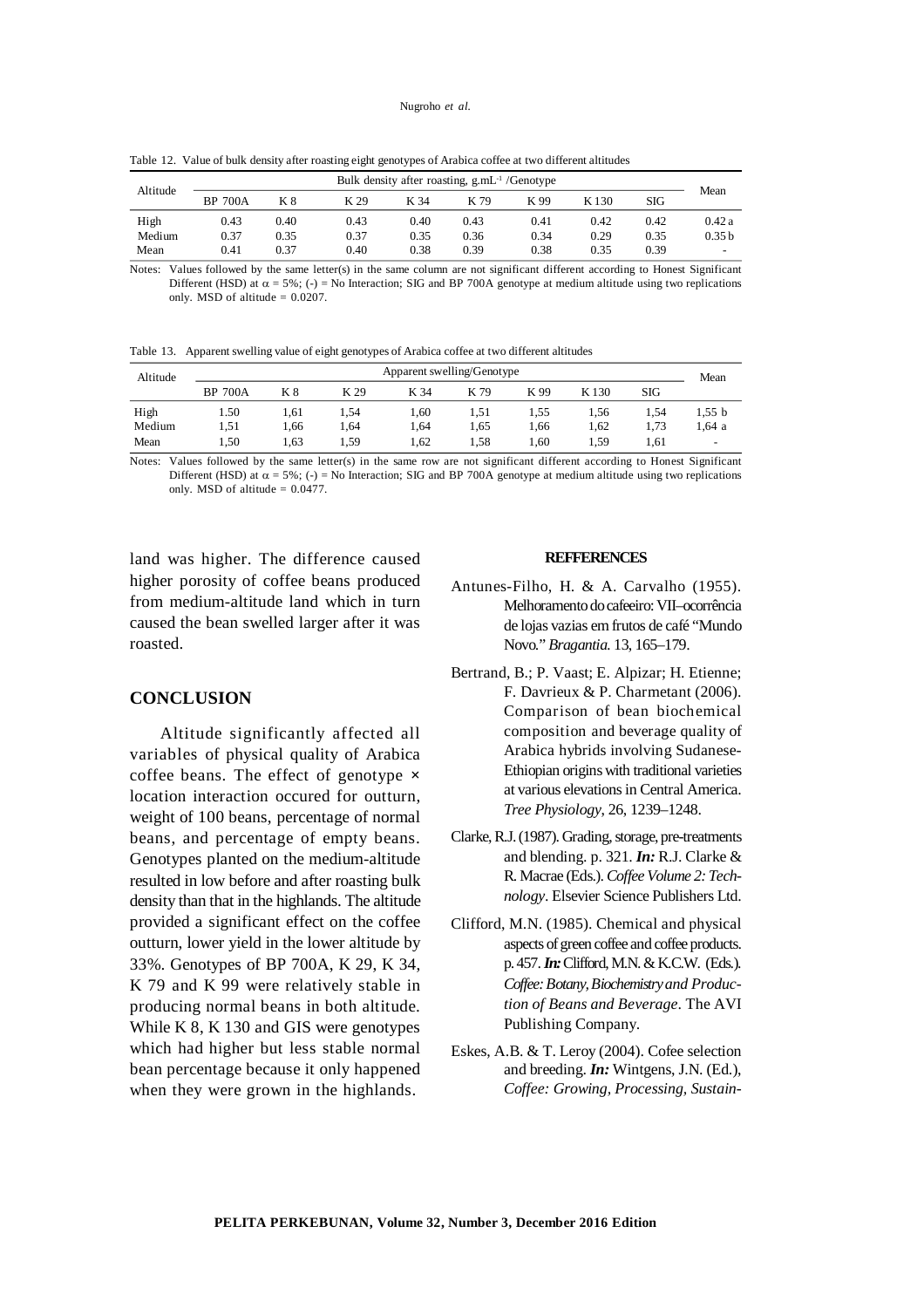|          |                                                   |      | $\tilde{}$ | - -  |      |      |       |      |                          |
|----------|---------------------------------------------------|------|------------|------|------|------|-------|------|--------------------------|
| Altitude | Bulk density after roasting, $g.mL^{-1}/Genotype$ |      |            |      |      |      |       |      |                          |
|          | <b>BP 700A</b>                                    | K 8  | K 29       | K 34 | K 79 | K 99 | K 130 | SIG  | Mean                     |
| High     | 0.43                                              | 0.40 | 0.43       | 0.40 | 0.43 | 0.41 | 0.42  | 0.42 | 0.42a                    |
| Medium   | 0.37                                              | 0.35 | 0.37       | 0.35 | 0.36 | 0.34 | 0.29  | 0.35 | 0.35 <sub>b</sub>        |
| Mean     | 0.41                                              | 0.37 | 0.40       | 0.38 | 0.39 | 0.38 | 0.35  | 0.39 | $\overline{\phantom{0}}$ |

Table 12. Value of bulk density after roasting eight genotypes of Arabica coffee at two different altitudes

Notes: Values followed by the same letter(s) in the same column are not significant different according to Honest Significant Different (HSD) at  $\alpha = 5\%$ ; (-) = No Interaction; SIG and BP 700A genotype at medium altitude using two replications only. MSD of altitude  $= 0.0207$ .

Table 13. Apparent swelling value of eight genotypes of Arabica coffee at two different altitudes

| Altitude | Apparent swelling/Genotype |      |      |       |      |        |        |      | Mean                     |
|----------|----------------------------|------|------|-------|------|--------|--------|------|--------------------------|
|          | <b>BP 700A</b>             | K 8  | K 29 | K 34  | K 79 | K 99   | K 130  | SIG  |                          |
| High     | 1.50                       | 1.61 | 1.54 | . .60 | 1,51 | 1,55   | . . 56 | 1.54 | 1,55 b                   |
| Medium   | 1.51                       | .66  | 1.64 | 1,64  | 1.65 | 1,66   | 1,62   | 1.73 | 1,64 a                   |
| Mean     | 1.50                       | 1.63 | 1,59 | 1,62  | 1,58 | . . 60 | . 59   | 1.61 | $\overline{\phantom{a}}$ |

Notes: Values followed by the same letter(s) in the same row are not significant different according to Honest Significant Different (HSD) at  $\alpha = 5\%$ ; (-) = No Interaction; SIG and BP 700A genotype at medium altitude using two replications only. MSD of altitude  $= 0.0477$ .

land was higher. The difference caused higher porosity of coffee beans produced from medium-altitude land which in turn caused the bean swelled larger after it was roasted.

### **CONCLUSION**

Altitude significantly affected all variables of physical quality of Arabica coffee beans. The effect of genotype **×** location interaction occured for outturn, weight of 100 beans, percentage of normal beans, and percentage of empty beans. Genotypes planted on the medium-altitude resulted in low before and after roasting bulk density than that in the highlands. The altitude provided a significant effect on the coffee outturn, lower yield in the lower altitude by 33%. Genotypes of BP 700A, K 29, K 34, K 79 and K 99 were relatively stable in producing normal beans in both altitude. While K 8, K 130 and GIS were genotypes which had higher but less stable normal bean percentage because it only happened when they were grown in the highlands.

#### **REFFERENCES**

- Antunes-Filho, H. & A. Carvalho (1955). Melhoramento do cafeeiro: VII–ocorrência de lojas vazias em frutos de café "Mundo Novo." *Bragantia.* 13, 165–179.
- Bertrand, B.; P. Vaast; E. Alpizar; H. Etienne; F. Davrieux & P. Charmetant (2006). Comparison of bean biochemical composition and beverage quality of Arabica hybrids involving Sudanese-Ethiopian origins with traditional varieties at various elevations in Central America. *Tree Physiology*, 26, 1239–1248.
- Clarke, R.J. (1987). Grading, storage, pre-treatments and blending. p. 321. *In:* R.J. Clarke & R. Macrae (Eds.). *Coffee Volume 2: Technology*. Elsevier Science Publishers Ltd.
- Clifford, M.N. (1985). Chemical and physical aspects of green coffee and coffee products. p. 457. *In:* Clifford, M.N. & K.C.W. (Eds.). *Coffee: Botany, Biochemistry and Production of Beans and Beverage*. The AVI Publishing Company.
- Eskes, A.B. & T. Leroy (2004). Cofee selection and breeding. *In:* Wintgens, J.N. (Ed.), *Coffee: Growing, Processing, Sustain-*